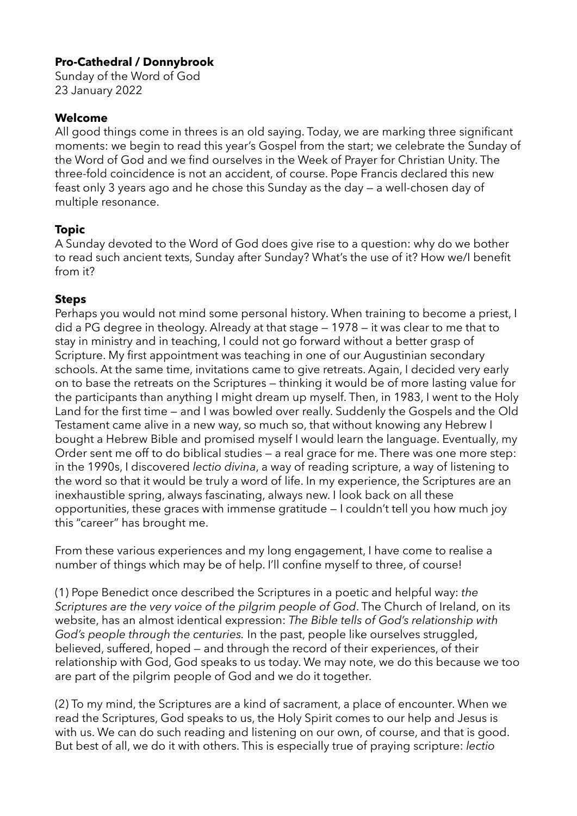### **Pro-Cathedral / Donnybrook**

Sunday of the Word of God 23 January 2022

### **Welcome**

All good things come in threes is an old saying. Today, we are marking three significant moments: we begin to read this year's Gospel from the start; we celebrate the Sunday of the Word of God and we find ourselves in the Week of Prayer for Christian Unity. The three-fold coincidence is not an accident, of course. Pope Francis declared this new feast only 3 years ago and he chose this Sunday as the day — a well-chosen day of multiple resonance.

# **Topic**

A Sunday devoted to the Word of God does give rise to a question: why do we bother to read such ancient texts, Sunday after Sunday? What's the use of it? How we/I benefit from it?

# **Steps**

Perhaps you would not mind some personal history. When training to become a priest, I did a PG degree in theology. Already at that stage — 1978 — it was clear to me that to stay in ministry and in teaching, I could not go forward without a better grasp of Scripture. My first appointment was teaching in one of our Augustinian secondary schools. At the same time, invitations came to give retreats. Again, I decided very early on to base the retreats on the Scriptures — thinking it would be of more lasting value for the participants than anything I might dream up myself. Then, in 1983, I went to the Holy Land for the first time — and I was bowled over really. Suddenly the Gospels and the Old Testament came alive in a new way, so much so, that without knowing any Hebrew I bought a Hebrew Bible and promised myself I would learn the language. Eventually, my Order sent me off to do biblical studies — a real grace for me. There was one more step: in the 1990s, I discovered *lectio divina*, a way of reading scripture, a way of listening to the word so that it would be truly a word of life. In my experience, the Scriptures are an inexhaustible spring, always fascinating, always new. I look back on all these opportunities, these graces with immense gratitude — I couldn't tell you how much joy this "career" has brought me.

From these various experiences and my long engagement, I have come to realise a number of things which may be of help. I'll confine myself to three, of course!

(1) Pope Benedict once described the Scriptures in a poetic and helpful way: *the Scriptures are the very voice of the pilgrim people of God*. The Church of Ireland, on its website, has an almost identical expression: *The Bible tells of God's relationship with God's people through the centuries.* In the past, people like ourselves struggled, believed, suffered, hoped — and through the record of their experiences, of their relationship with God, God speaks to us today. We may note, we do this because we too are part of the pilgrim people of God and we do it together.

(2) To my mind, the Scriptures are a kind of sacrament, a place of encounter. When we read the Scriptures, God speaks to us, the Holy Spirit comes to our help and Jesus is with us. We can do such reading and listening on our own, of course, and that is good. But best of all, we do it with others. This is especially true of praying scripture: *lectio*